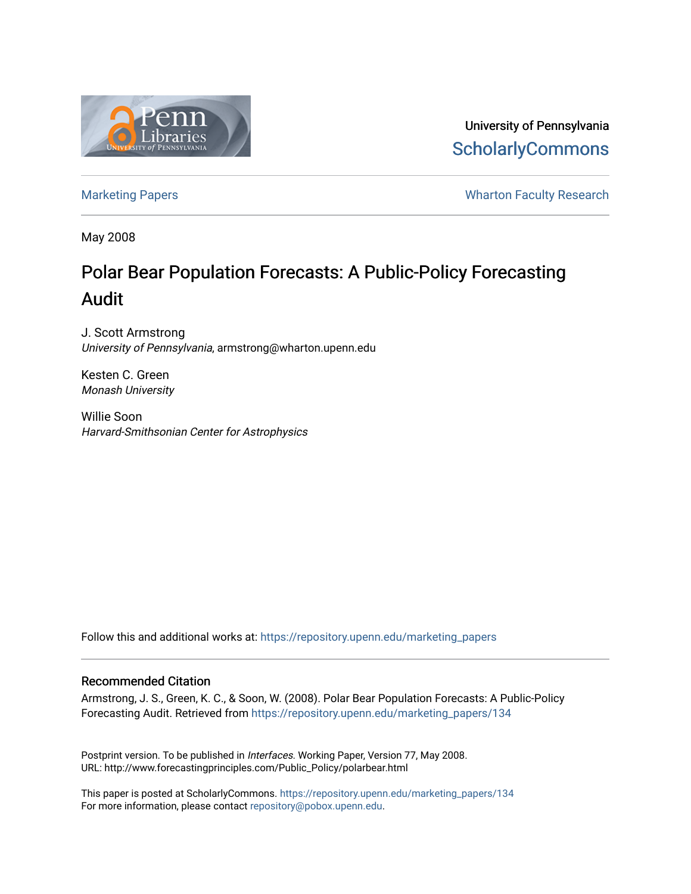

University of Pennsylvania **ScholarlyCommons** 

[Marketing Papers](https://repository.upenn.edu/marketing_papers) **Marketing Papers Marketing Papers Wharton Faculty Research** 

May 2008

# Polar Bear Population Forecasts: A Public-Policy Forecasting Audit

J. Scott Armstrong University of Pennsylvania, armstrong@wharton.upenn.edu

Kesten C. Green Monash University

Willie Soon Harvard-Smithsonian Center for Astrophysics

Follow this and additional works at: [https://repository.upenn.edu/marketing\\_papers](https://repository.upenn.edu/marketing_papers?utm_source=repository.upenn.edu%2Fmarketing_papers%2F134&utm_medium=PDF&utm_campaign=PDFCoverPages)

#### Recommended Citation

Armstrong, J. S., Green, K. C., & Soon, W. (2008). Polar Bear Population Forecasts: A Public-Policy Forecasting Audit. Retrieved from [https://repository.upenn.edu/marketing\\_papers/134](https://repository.upenn.edu/marketing_papers/134?utm_source=repository.upenn.edu%2Fmarketing_papers%2F134&utm_medium=PDF&utm_campaign=PDFCoverPages)

Postprint version. To be published in Interfaces. Working Paper, Version 77, May 2008. URL: http://www.forecastingprinciples.com/Public\_Policy/polarbear.html

This paper is posted at ScholarlyCommons. [https://repository.upenn.edu/marketing\\_papers/134](https://repository.upenn.edu/marketing_papers/134)  For more information, please contact [repository@pobox.upenn.edu.](mailto:repository@pobox.upenn.edu)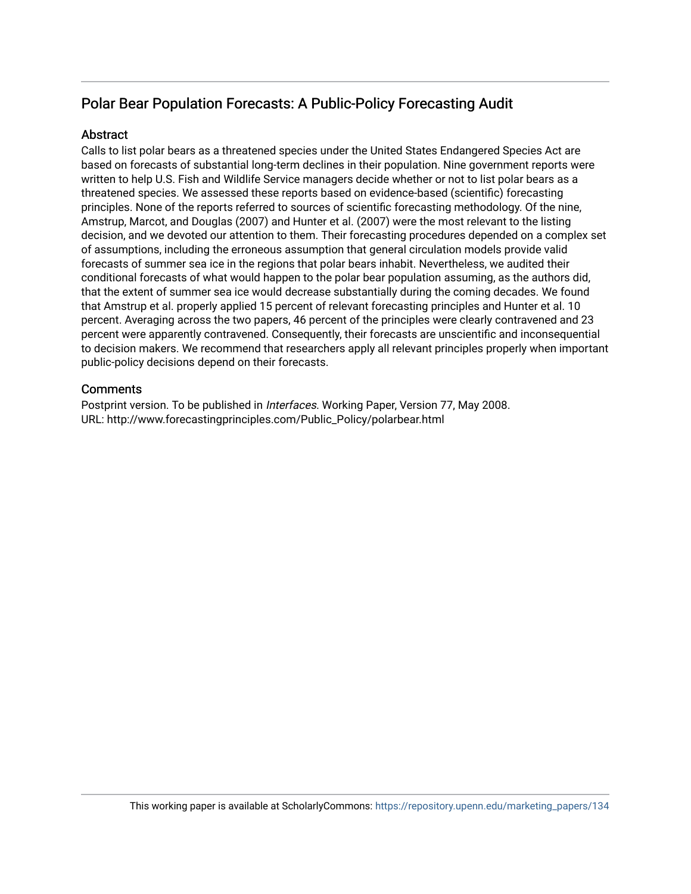# Polar Bear Population Forecasts: A Public-Policy Forecasting Audit

# **Abstract**

Calls to list polar bears as a threatened species under the United States Endangered Species Act are based on forecasts of substantial long-term declines in their population. Nine government reports were written to help U.S. Fish and Wildlife Service managers decide whether or not to list polar bears as a threatened species. We assessed these reports based on evidence-based (scientific) forecasting principles. None of the reports referred to sources of scientific forecasting methodology. Of the nine, Amstrup, Marcot, and Douglas (2007) and Hunter et al. (2007) were the most relevant to the listing decision, and we devoted our attention to them. Their forecasting procedures depended on a complex set of assumptions, including the erroneous assumption that general circulation models provide valid forecasts of summer sea ice in the regions that polar bears inhabit. Nevertheless, we audited their conditional forecasts of what would happen to the polar bear population assuming, as the authors did, that the extent of summer sea ice would decrease substantially during the coming decades. We found that Amstrup et al. properly applied 15 percent of relevant forecasting principles and Hunter et al. 10 percent. Averaging across the two papers, 46 percent of the principles were clearly contravened and 23 percent were apparently contravened. Consequently, their forecasts are unscientific and inconsequential to decision makers. We recommend that researchers apply all relevant principles properly when important public-policy decisions depend on their forecasts.

# **Comments**

Postprint version. To be published in Interfaces. Working Paper, Version 77, May 2008. URL: http://www.forecastingprinciples.com/Public\_Policy/polarbear.html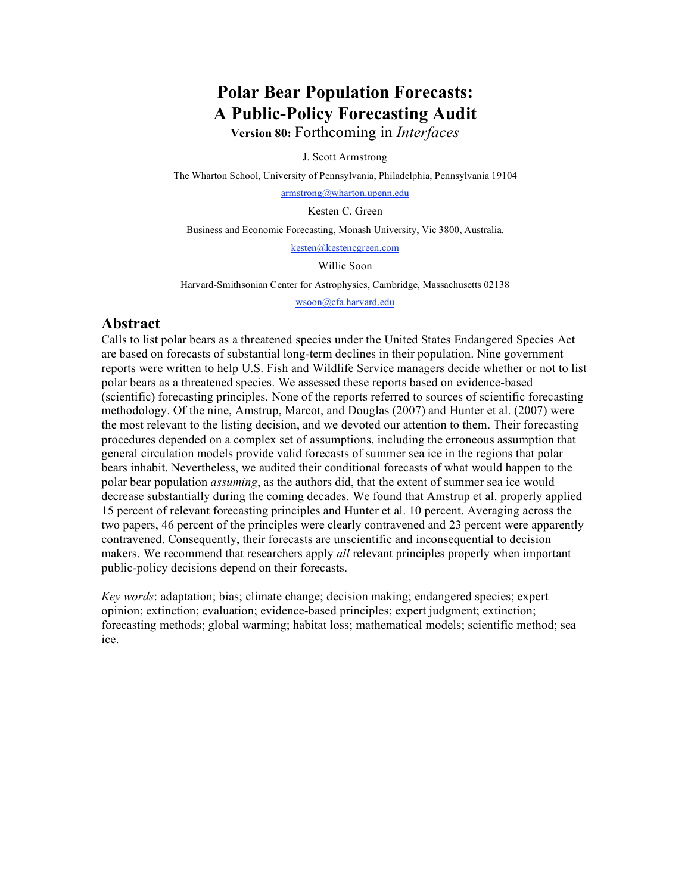# **Polar Bear Population Forecasts: A Public-Policy Forecasting Audit**

**Version 80:** Forthcoming in *Interfaces*

J. Scott Armstrong

The Wharton School, University of Pennsylvania, Philadelphia, Pennsylvania 19104

armstrong@wharton.upenn.edu

Kesten C. Green

Business and Economic Forecasting, Monash University, Vic 3800, Australia.

kesten@kestencgreen.com

Willie Soon

Harvard-Smithsonian Center for Astrophysics, Cambridge, Massachusetts 02138

wsoon@cfa.harvard.edu

# **Abstract**

Calls to list polar bears as a threatened species under the United States Endangered Species Act are based on forecasts of substantial long-term declines in their population. Nine government reports were written to help U.S. Fish and Wildlife Service managers decide whether or not to list polar bears as a threatened species. We assessed these reports based on evidence-based (scientific) forecasting principles. None of the reports referred to sources of scientific forecasting methodology. Of the nine, Amstrup, Marcot, and Douglas (2007) and Hunter et al. (2007) were the most relevant to the listing decision, and we devoted our attention to them. Their forecasting procedures depended on a complex set of assumptions, including the erroneous assumption that general circulation models provide valid forecasts of summer sea ice in the regions that polar bears inhabit. Nevertheless, we audited their conditional forecasts of what would happen to the polar bear population *assuming*, as the authors did, that the extent of summer sea ice would decrease substantially during the coming decades. We found that Amstrup et al. properly applied 15 percent of relevant forecasting principles and Hunter et al. 10 percent. Averaging across the two papers, 46 percent of the principles were clearly contravened and 23 percent were apparently contravened. Consequently, their forecasts are unscientific and inconsequential to decision makers. We recommend that researchers apply *all* relevant principles properly when important public-policy decisions depend on their forecasts.

*Key words*: adaptation; bias; climate change; decision making; endangered species; expert opinion; extinction; evaluation; evidence-based principles; expert judgment; extinction; forecasting methods; global warming; habitat loss; mathematical models; scientific method; sea ice.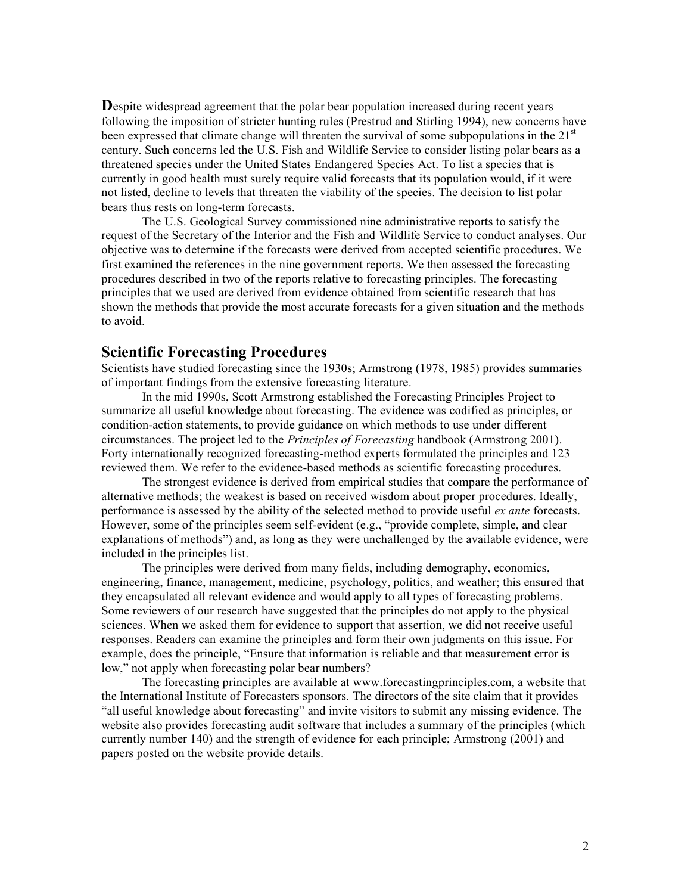**D**espite widespread agreement that the polar bear population increased during recent years following the imposition of stricter hunting rules (Prestrud and Stirling 1994), new concerns have been expressed that climate change will threaten the survival of some subpopulations in the  $21<sup>st</sup>$ century. Such concerns led the U.S. Fish and Wildlife Service to consider listing polar bears as a threatened species under the United States Endangered Species Act. To list a species that is currently in good health must surely require valid forecasts that its population would, if it were not listed, decline to levels that threaten the viability of the species. The decision to list polar bears thus rests on long-term forecasts.

The U.S. Geological Survey commissioned nine administrative reports to satisfy the request of the Secretary of the Interior and the Fish and Wildlife Service to conduct analyses. Our objective was to determine if the forecasts were derived from accepted scientific procedures. We first examined the references in the nine government reports. We then assessed the forecasting procedures described in two of the reports relative to forecasting principles. The forecasting principles that we used are derived from evidence obtained from scientific research that has shown the methods that provide the most accurate forecasts for a given situation and the methods to avoid.

## **Scientific Forecasting Procedures**

Scientists have studied forecasting since the 1930s; Armstrong (1978, 1985) provides summaries of important findings from the extensive forecasting literature.

In the mid 1990s, Scott Armstrong established the Forecasting Principles Project to summarize all useful knowledge about forecasting. The evidence was codified as principles, or condition-action statements, to provide guidance on which methods to use under different circumstances. The project led to the *Principles of Forecasting* handbook (Armstrong 2001). Forty internationally recognized forecasting-method experts formulated the principles and 123 reviewed them. We refer to the evidence-based methods as scientific forecasting procedures.

The strongest evidence is derived from empirical studies that compare the performance of alternative methods; the weakest is based on received wisdom about proper procedures. Ideally, performance is assessed by the ability of the selected method to provide useful *ex ante* forecasts. However, some of the principles seem self-evident (e.g., "provide complete, simple, and clear explanations of methods") and, as long as they were unchallenged by the available evidence, were included in the principles list.

The principles were derived from many fields, including demography, economics, engineering, finance, management, medicine, psychology, politics, and weather; this ensured that they encapsulated all relevant evidence and would apply to all types of forecasting problems. Some reviewers of our research have suggested that the principles do not apply to the physical sciences. When we asked them for evidence to support that assertion, we did not receive useful responses. Readers can examine the principles and form their own judgments on this issue. For example, does the principle, "Ensure that information is reliable and that measurement error is low," not apply when forecasting polar bear numbers?

The forecasting principles are available at www.forecastingprinciples.com, a website that the International Institute of Forecasters sponsors. The directors of the site claim that it provides "all useful knowledge about forecasting" and invite visitors to submit any missing evidence. The website also provides forecasting audit software that includes a summary of the principles (which currently number 140) and the strength of evidence for each principle; Armstrong (2001) and papers posted on the website provide details.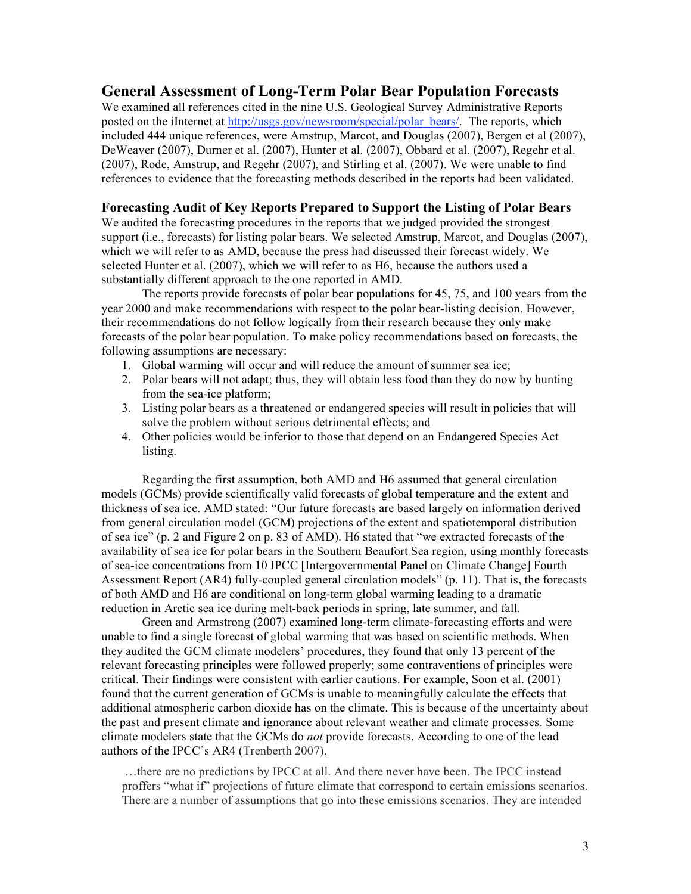# **General Assessment of Long-Term Polar Bear Population Forecasts**

We examined all references cited in the nine U.S. Geological Survey Administrative Reports posted on the iInternet at http://usgs.gov/newsroom/special/polar\_bears/. The reports, which included 444 unique references, were Amstrup, Marcot, and Douglas (2007), Bergen et al (2007), DeWeaver (2007), Durner et al. (2007), Hunter et al. (2007), Obbard et al. (2007), Regehr et al. (2007), Rode, Amstrup, and Regehr (2007), and Stirling et al. (2007). We were unable to find references to evidence that the forecasting methods described in the reports had been validated.

## **Forecasting Audit of Key Reports Prepared to Support the Listing of Polar Bears**

We audited the forecasting procedures in the reports that we judged provided the strongest support (i.e., forecasts) for listing polar bears. We selected Amstrup, Marcot, and Douglas (2007), which we will refer to as AMD, because the press had discussed their forecast widely. We selected Hunter et al. (2007), which we will refer to as H6, because the authors used a substantially different approach to the one reported in AMD.

The reports provide forecasts of polar bear populations for 45, 75, and 100 years from the year 2000 and make recommendations with respect to the polar bear-listing decision. However, their recommendations do not follow logically from their research because they only make forecasts of the polar bear population. To make policy recommendations based on forecasts, the following assumptions are necessary:

- 1. Global warming will occur and will reduce the amount of summer sea ice;
- 2. Polar bears will not adapt; thus, they will obtain less food than they do now by hunting from the sea-ice platform;
- 3. Listing polar bears as a threatened or endangered species will result in policies that will solve the problem without serious detrimental effects; and
- 4. Other policies would be inferior to those that depend on an Endangered Species Act listing.

Regarding the first assumption, both AMD and H6 assumed that general circulation models (GCMs) provide scientifically valid forecasts of global temperature and the extent and thickness of sea ice. AMD stated: "Our future forecasts are based largely on information derived from general circulation model (GCM) projections of the extent and spatiotemporal distribution of sea ice" (p. 2 and Figure 2 on p. 83 of AMD). H6 stated that "we extracted forecasts of the availability of sea ice for polar bears in the Southern Beaufort Sea region, using monthly forecasts of sea-ice concentrations from 10 IPCC [Intergovernmental Panel on Climate Change] Fourth Assessment Report (AR4) fully-coupled general circulation models" (p. 11). That is, the forecasts of both AMD and H6 are conditional on long-term global warming leading to a dramatic reduction in Arctic sea ice during melt-back periods in spring, late summer, and fall.

Green and Armstrong (2007) examined long-term climate-forecasting efforts and were unable to find a single forecast of global warming that was based on scientific methods. When they audited the GCM climate modelers' procedures, they found that only 13 percent of the relevant forecasting principles were followed properly; some contraventions of principles were critical. Their findings were consistent with earlier cautions. For example, Soon et al. (2001) found that the current generation of GCMs is unable to meaningfully calculate the effects that additional atmospheric carbon dioxide has on the climate. This is because of the uncertainty about the past and present climate and ignorance about relevant weather and climate processes. Some climate modelers state that the GCMs do *not* provide forecasts. According to one of the lead authors of the IPCC's AR4 (Trenberth 2007),

…there are no predictions by IPCC at all. And there never have been. The IPCC instead proffers "what if" projections of future climate that correspond to certain emissions scenarios. There are a number of assumptions that go into these emissions scenarios. They are intended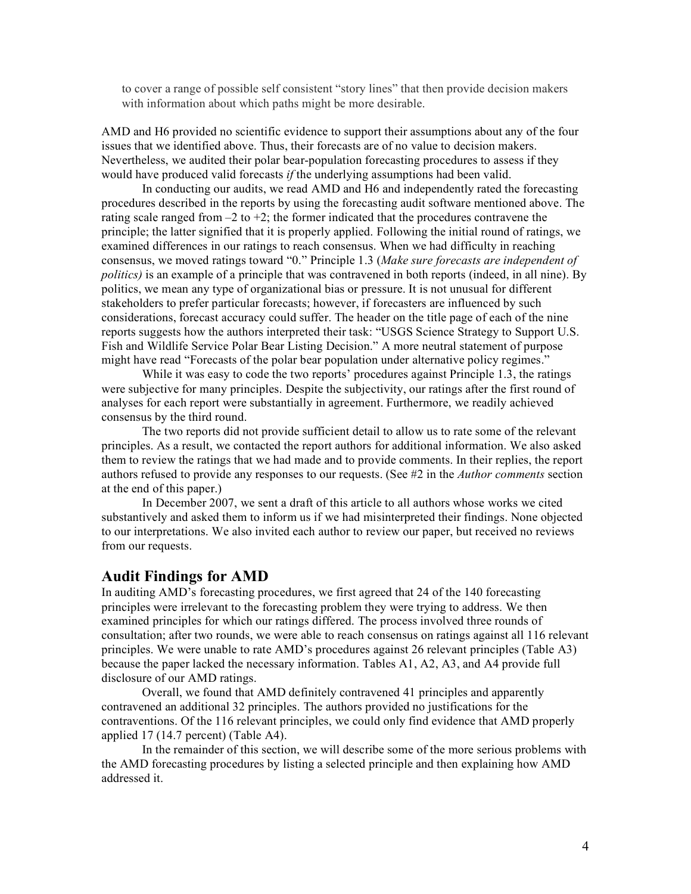to cover a range of possible self consistent "story lines" that then provide decision makers with information about which paths might be more desirable.

AMD and H6 provided no scientific evidence to support their assumptions about any of the four issues that we identified above. Thus, their forecasts are of no value to decision makers. Nevertheless, we audited their polar bear-population forecasting procedures to assess if they would have produced valid forecasts *if* the underlying assumptions had been valid.

In conducting our audits, we read AMD and H6 and independently rated the forecasting procedures described in the reports by using the forecasting audit software mentioned above. The rating scale ranged from  $-2$  to  $+2$ ; the former indicated that the procedures contravene the principle; the latter signified that it is properly applied. Following the initial round of ratings, we examined differences in our ratings to reach consensus. When we had difficulty in reaching consensus, we moved ratings toward "0." Principle 1.3 (*Make sure forecasts are independent of politics)* is an example of a principle that was contravened in both reports (indeed, in all nine). By politics, we mean any type of organizational bias or pressure. It is not unusual for different stakeholders to prefer particular forecasts; however, if forecasters are influenced by such considerations, forecast accuracy could suffer. The header on the title page of each of the nine reports suggests how the authors interpreted their task: "USGS Science Strategy to Support U.S. Fish and Wildlife Service Polar Bear Listing Decision." A more neutral statement of purpose might have read "Forecasts of the polar bear population under alternative policy regimes."

While it was easy to code the two reports' procedures against Principle 1.3, the ratings were subjective for many principles. Despite the subjectivity, our ratings after the first round of analyses for each report were substantially in agreement. Furthermore, we readily achieved consensus by the third round.

The two reports did not provide sufficient detail to allow us to rate some of the relevant principles. As a result, we contacted the report authors for additional information. We also asked them to review the ratings that we had made and to provide comments. In their replies, the report authors refused to provide any responses to our requests. (See #2 in the *Author comments* section at the end of this paper.)

In December 2007, we sent a draft of this article to all authors whose works we cited substantively and asked them to inform us if we had misinterpreted their findings. None objected to our interpretations. We also invited each author to review our paper, but received no reviews from our requests.

# **Audit Findings for AMD**

In auditing AMD's forecasting procedures, we first agreed that 24 of the 140 forecasting principles were irrelevant to the forecasting problem they were trying to address. We then examined principles for which our ratings differed. The process involved three rounds of consultation; after two rounds, we were able to reach consensus on ratings against all 116 relevant principles. We were unable to rate AMD's procedures against 26 relevant principles (Table A3) because the paper lacked the necessary information. Tables A1, A2, A3, and A4 provide full disclosure of our AMD ratings.

Overall, we found that AMD definitely contravened 41 principles and apparently contravened an additional 32 principles. The authors provided no justifications for the contraventions. Of the 116 relevant principles, we could only find evidence that AMD properly applied 17 (14.7 percent) (Table A4).

In the remainder of this section, we will describe some of the more serious problems with the AMD forecasting procedures by listing a selected principle and then explaining how AMD addressed it.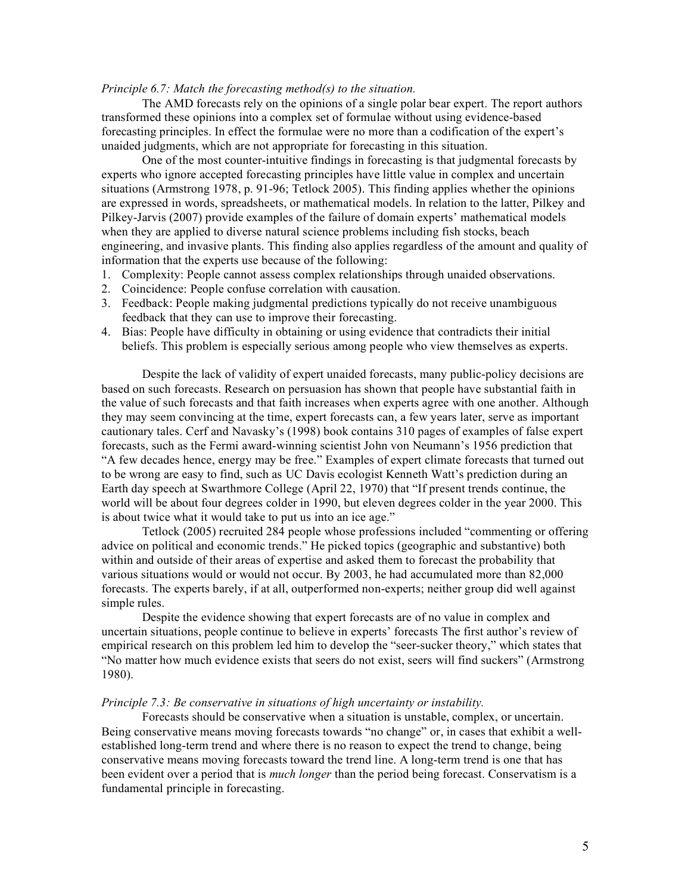#### *Principle 6.7: Match the forecasting method(s) to the situation.*

The AMD forecasts rely on the opinions of a single polar bear expert. The report authors transformed these opinions into a complex set of formulae without using evidence-based forecasting principles. In effect the formulae were no more than a codification of the expert's unaided judgments, which are not appropriate for forecasting in this situation.

One of the most counter-intuitive findings in forecasting is that judgmental forecasts by experts who ignore accepted forecasting principles have little value in complex and uncertain situations (Armstrong 1978, p. 91-96; Tetlock 2005). This finding applies whether the opinions are expressed in words, spreadsheets, or mathematical models. In relation to the latter, Pilkey and Pilkey-Jarvis (2007) provide examples of the failure of domain experts' mathematical models when they are applied to diverse natural science problems including fish stocks, beach engineering, and invasive plants. This finding also applies regardless of the amount and quality of information that the experts use because of the following:

- 1. Complexity: People cannot assess complex relationships through unaided observations.
- 2. Coincidence: People confuse correlation with causation.
- 3. Feedback: People making judgmental predictions typically do not receive unambiguous feedback that they can use to improve their forecasting.
- 4. Bias: People have difficulty in obtaining or using evidence that contradicts their initial beliefs. This problem is especially serious among people who view themselves as experts.

Despite the lack of validity of expert unaided forecasts, many public-policy decisions are based on such forecasts. Research on persuasion has shown that people have substantial faith in the value of such forecasts and that faith increases when experts agree with one another. Although they may seem convincing at the time, expert forecasts can, a few years later, serve as important cautionary tales. Cerf and Navasky's (1998) book contains 310 pages of examples of false expert forecasts, such as the Fermi award-winning scientist John von Neumann's 1956 prediction that "A few decades hence, energy may be free." Examples of expert climate forecasts that turned out to be wrong are easy to find, such as UC Davis ecologist Kenneth Watt's prediction during an Earth day speech at Swarthmore College (April 22, 1970) that "If present trends continue, the world will be about four degrees colder in 1990, but eleven degrees colder in the year 2000. This is about twice what it would take to put us into an ice age."

Tetlock (2005) recruited 284 people whose professions included "commenting or offering advice on political and economic trends." He picked topics (geographic and substantive) both within and outside of their areas of expertise and asked them to forecast the probability that various situations would or would not occur. By 2003, he had accumulated more than 82,000 forecasts. The experts barely, if at all, outperformed non-experts; neither group did well against simple rules.

Despite the evidence showing that expert forecasts are of no value in complex and uncertain situations, people continue to believe in experts' forecasts The first author's review of empirical research on this problem led him to develop the "seer-sucker theory," which states that "No matter how much evidence exists that seers do not exist, seers will find suckers" (Armstrong 1980).

#### *Principle 7.3: Be conservative in situations of high uncertainty or instability.*

Forecasts should be conservative when a situation is unstable, complex, or uncertain. Being conservative means moving forecasts towards "no change" or, in cases that exhibit a wellestablished long-term trend and where there is no reason to expect the trend to change, being conservative means moving forecasts toward the trend line. A long-term trend is one that has been evident over a period that is *much longer* than the period being forecast. Conservatism is a fundamental principle in forecasting.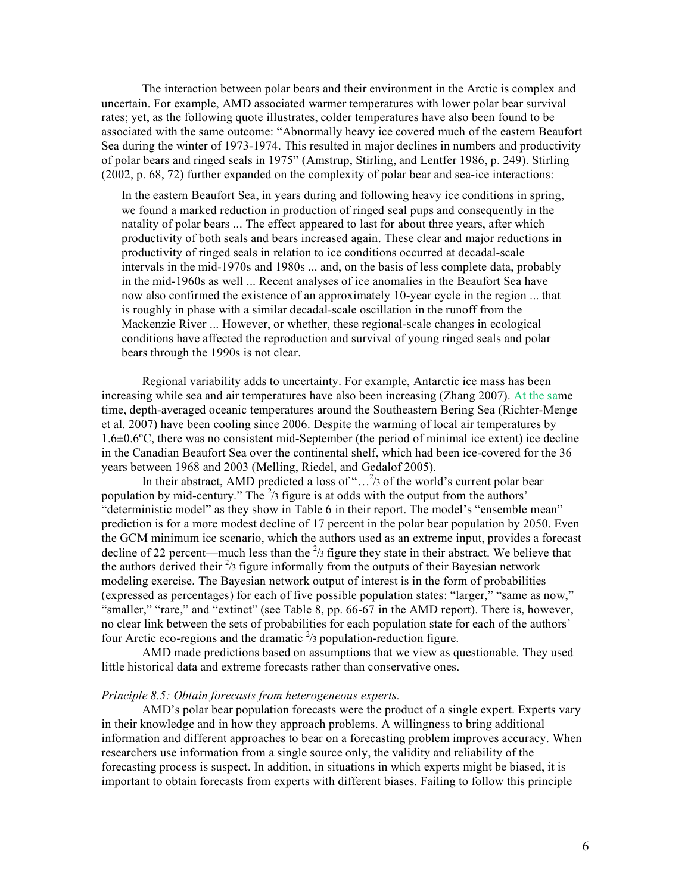The interaction between polar bears and their environment in the Arctic is complex and uncertain. For example, AMD associated warmer temperatures with lower polar bear survival rates; yet, as the following quote illustrates, colder temperatures have also been found to be associated with the same outcome: "Abnormally heavy ice covered much of the eastern Beaufort Sea during the winter of 1973-1974. This resulted in major declines in numbers and productivity of polar bears and ringed seals in 1975" (Amstrup, Stirling, and Lentfer 1986, p. 249). Stirling (2002, p. 68, 72) further expanded on the complexity of polar bear and sea-ice interactions:

In the eastern Beaufort Sea, in years during and following heavy ice conditions in spring, we found a marked reduction in production of ringed seal pups and consequently in the natality of polar bears ... The effect appeared to last for about three years, after which productivity of both seals and bears increased again. These clear and major reductions in productivity of ringed seals in relation to ice conditions occurred at decadal-scale intervals in the mid-1970s and 1980s ... and, on the basis of less complete data, probably in the mid-1960s as well ... Recent analyses of ice anomalies in the Beaufort Sea have now also confirmed the existence of an approximately 10-year cycle in the region ... that is roughly in phase with a similar decadal-scale oscillation in the runoff from the Mackenzie River ... However, or whether, these regional-scale changes in ecological conditions have affected the reproduction and survival of young ringed seals and polar bears through the 1990s is not clear.

Regional variability adds to uncertainty. For example, Antarctic ice mass has been increasing while sea and air temperatures have also been increasing (Zhang 2007). At the same time, depth-averaged oceanic temperatures around the Southeastern Bering Sea (Richter-Menge et al. 2007) have been cooling since 2006. Despite the warming of local air temperatures by 1.6±0.6ºC, there was no consistent mid-September (the period of minimal ice extent) ice decline in the Canadian Beaufort Sea over the continental shelf, which had been ice-covered for the 36 years between 1968 and 2003 (Melling, Riedel, and Gedalof 2005).

In their abstract, AMD predicted a loss of " $\ldots$  ?/3 of the world's current polar bear population by mid-century." The  $\frac{2}{3}$  figure is at odds with the output from the authors' "deterministic model" as they show in Table 6 in their report. The model's "ensemble mean" prediction is for a more modest decline of 17 percent in the polar bear population by 2050. Even the GCM minimum ice scenario, which the authors used as an extreme input, provides a forecast decline of 22 percent—much less than the  $\frac{2}{3}$  figure they state in their abstract. We believe that the authors derived their  $\frac{2}{3}$  figure informally from the outputs of their Bayesian network modeling exercise. The Bayesian network output of interest is in the form of probabilities (expressed as percentages) for each of five possible population states: "larger," "same as now," "smaller," "rare," and "extinct" (see Table 8, pp. 66-67 in the AMD report). There is, however, no clear link between the sets of probabilities for each population state for each of the authors' four Arctic eco-regions and the dramatic  $\frac{2}{3}$  population-reduction figure.

AMD made predictions based on assumptions that we view as questionable. They used little historical data and extreme forecasts rather than conservative ones.

#### *Principle 8.5: Obtain forecasts from heterogeneous experts.*

AMD's polar bear population forecasts were the product of a single expert. Experts vary in their knowledge and in how they approach problems. A willingness to bring additional information and different approaches to bear on a forecasting problem improves accuracy. When researchers use information from a single source only, the validity and reliability of the forecasting process is suspect. In addition, in situations in which experts might be biased, it is important to obtain forecasts from experts with different biases. Failing to follow this principle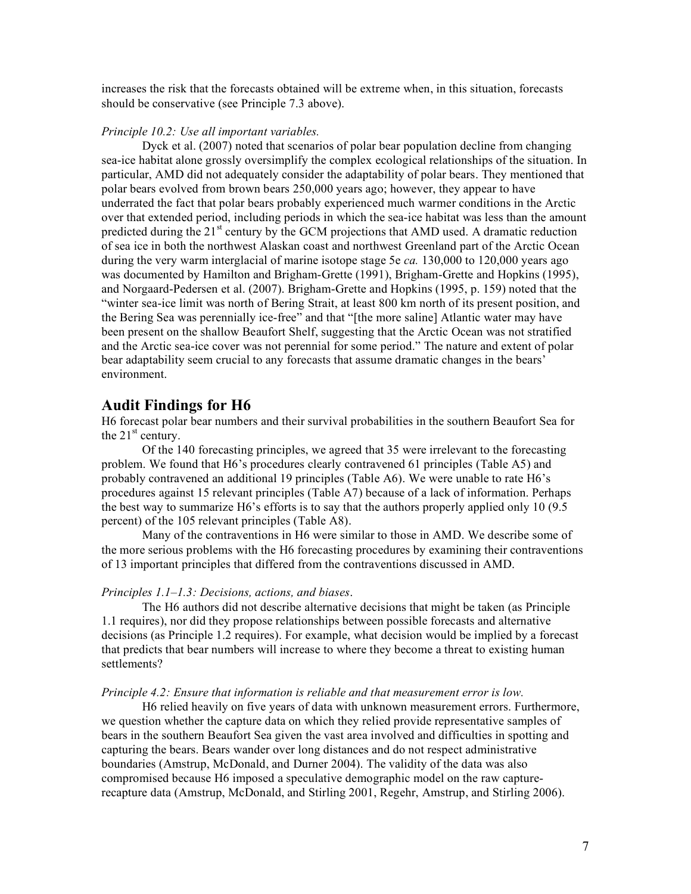increases the risk that the forecasts obtained will be extreme when, in this situation, forecasts should be conservative (see Principle 7.3 above).

#### *Principle 10.2: Use all important variables.*

Dyck et al. (2007) noted that scenarios of polar bear population decline from changing sea-ice habitat alone grossly oversimplify the complex ecological relationships of the situation. In particular, AMD did not adequately consider the adaptability of polar bears. They mentioned that polar bears evolved from brown bears 250,000 years ago; however, they appear to have underrated the fact that polar bears probably experienced much warmer conditions in the Arctic over that extended period, including periods in which the sea-ice habitat was less than the amount predicted during the  $21<sup>st</sup>$  century by the GCM projections that AMD used. A dramatic reduction of sea ice in both the northwest Alaskan coast and northwest Greenland part of the Arctic Ocean during the very warm interglacial of marine isotope stage 5e *ca.* 130,000 to 120,000 years ago was documented by Hamilton and Brigham-Grette (1991), Brigham-Grette and Hopkins (1995), and Norgaard-Pedersen et al. (2007). Brigham-Grette and Hopkins (1995, p. 159) noted that the "winter sea-ice limit was north of Bering Strait, at least 800 km north of its present position, and the Bering Sea was perennially ice-free" and that "[the more saline] Atlantic water may have been present on the shallow Beaufort Shelf, suggesting that the Arctic Ocean was not stratified and the Arctic sea-ice cover was not perennial for some period." The nature and extent of polar bear adaptability seem crucial to any forecasts that assume dramatic changes in the bears' environment.

# **Audit Findings for H6**

H6 forecast polar bear numbers and their survival probabilities in the southern Beaufort Sea for the  $21<sup>st</sup>$  century.

Of the 140 forecasting principles, we agreed that 35 were irrelevant to the forecasting problem. We found that H6's procedures clearly contravened 61 principles (Table A5) and probably contravened an additional 19 principles (Table A6). We were unable to rate H6's procedures against 15 relevant principles (Table A7) because of a lack of information. Perhaps the best way to summarize H6's efforts is to say that the authors properly applied only 10 (9.5 percent) of the 105 relevant principles (Table A8).

Many of the contraventions in H6 were similar to those in AMD. We describe some of the more serious problems with the H6 forecasting procedures by examining their contraventions of 13 important principles that differed from the contraventions discussed in AMD.

#### *Principles 1.1–1.3: Decisions, actions, and biases*.

The H6 authors did not describe alternative decisions that might be taken (as Principle 1.1 requires), nor did they propose relationships between possible forecasts and alternative decisions (as Principle 1.2 requires). For example, what decision would be implied by a forecast that predicts that bear numbers will increase to where they become a threat to existing human settlements?

#### *Principle 4.2: Ensure that information is reliable and that measurement error is low.*

H6 relied heavily on five years of data with unknown measurement errors. Furthermore, we question whether the capture data on which they relied provide representative samples of bears in the southern Beaufort Sea given the vast area involved and difficulties in spotting and capturing the bears. Bears wander over long distances and do not respect administrative boundaries (Amstrup, McDonald, and Durner 2004). The validity of the data was also compromised because H6 imposed a speculative demographic model on the raw capturerecapture data (Amstrup, McDonald, and Stirling 2001, Regehr, Amstrup, and Stirling 2006).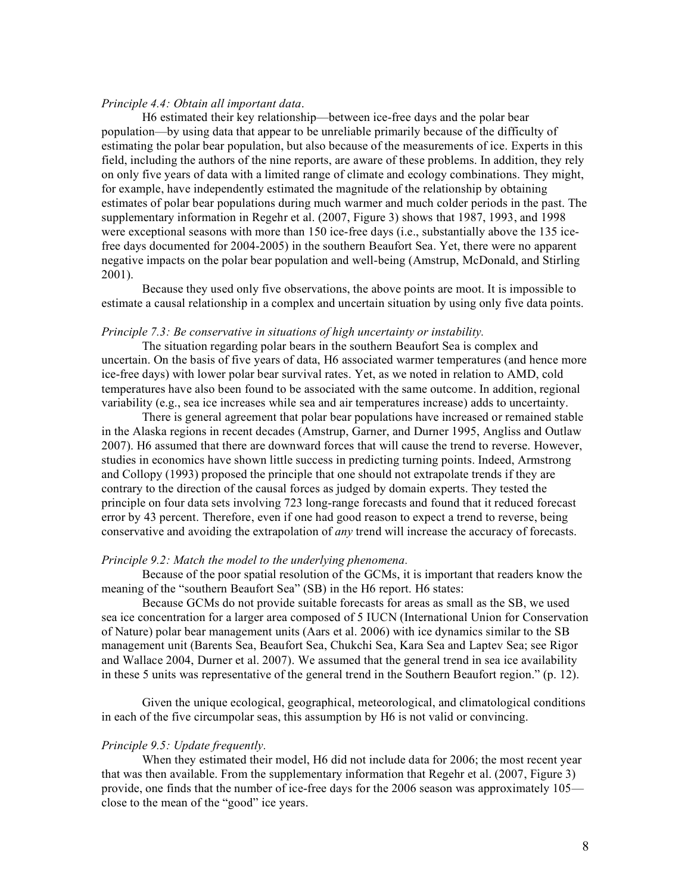#### *Principle 4.4: Obtain all important data*.

H6 estimated their key relationship—between ice-free days and the polar bear population—by using data that appear to be unreliable primarily because of the difficulty of estimating the polar bear population, but also because of the measurements of ice. Experts in this field, including the authors of the nine reports, are aware of these problems. In addition, they rely on only five years of data with a limited range of climate and ecology combinations. They might, for example, have independently estimated the magnitude of the relationship by obtaining estimates of polar bear populations during much warmer and much colder periods in the past. The supplementary information in Regehr et al. (2007, Figure 3) shows that 1987, 1993, and 1998 were exceptional seasons with more than 150 ice-free days (i.e., substantially above the 135 icefree days documented for 2004-2005) in the southern Beaufort Sea. Yet, there were no apparent negative impacts on the polar bear population and well-being (Amstrup, McDonald, and Stirling 2001).

Because they used only five observations, the above points are moot. It is impossible to estimate a causal relationship in a complex and uncertain situation by using only five data points.

#### *Principle 7.3: Be conservative in situations of high uncertainty or instability.*

The situation regarding polar bears in the southern Beaufort Sea is complex and uncertain. On the basis of five years of data, H6 associated warmer temperatures (and hence more ice-free days) with lower polar bear survival rates. Yet, as we noted in relation to AMD, cold temperatures have also been found to be associated with the same outcome. In addition, regional variability (e.g., sea ice increases while sea and air temperatures increase) adds to uncertainty.

There is general agreement that polar bear populations have increased or remained stable in the Alaska regions in recent decades (Amstrup, Garner, and Durner 1995, Angliss and Outlaw 2007). H6 assumed that there are downward forces that will cause the trend to reverse. However, studies in economics have shown little success in predicting turning points. Indeed, Armstrong and Collopy (1993) proposed the principle that one should not extrapolate trends if they are contrary to the direction of the causal forces as judged by domain experts. They tested the principle on four data sets involving 723 long-range forecasts and found that it reduced forecast error by 43 percent. Therefore, even if one had good reason to expect a trend to reverse, being conservative and avoiding the extrapolation of *any* trend will increase the accuracy of forecasts.

#### *Principle 9.2: Match the model to the underlying phenomena.*

Because of the poor spatial resolution of the GCMs, it is important that readers know the meaning of the "southern Beaufort Sea" (SB) in the H6 report. H6 states:

Because GCMs do not provide suitable forecasts for areas as small as the SB, we used sea ice concentration for a larger area composed of 5 IUCN (International Union for Conservation of Nature) polar bear management units (Aars et al. 2006) with ice dynamics similar to the SB management unit (Barents Sea, Beaufort Sea, Chukchi Sea, Kara Sea and Laptev Sea; see Rigor and Wallace 2004, Durner et al. 2007). We assumed that the general trend in sea ice availability in these 5 units was representative of the general trend in the Southern Beaufort region." (p. 12).

Given the unique ecological, geographical, meteorological, and climatological conditions in each of the five circumpolar seas, this assumption by H6 is not valid or convincing.

#### *Principle 9.5: Update frequently.*

When they estimated their model, H6 did not include data for 2006; the most recent year that was then available. From the supplementary information that Regehr et al. (2007, Figure 3) provide, one finds that the number of ice-free days for the 2006 season was approximately 105 close to the mean of the "good" ice years.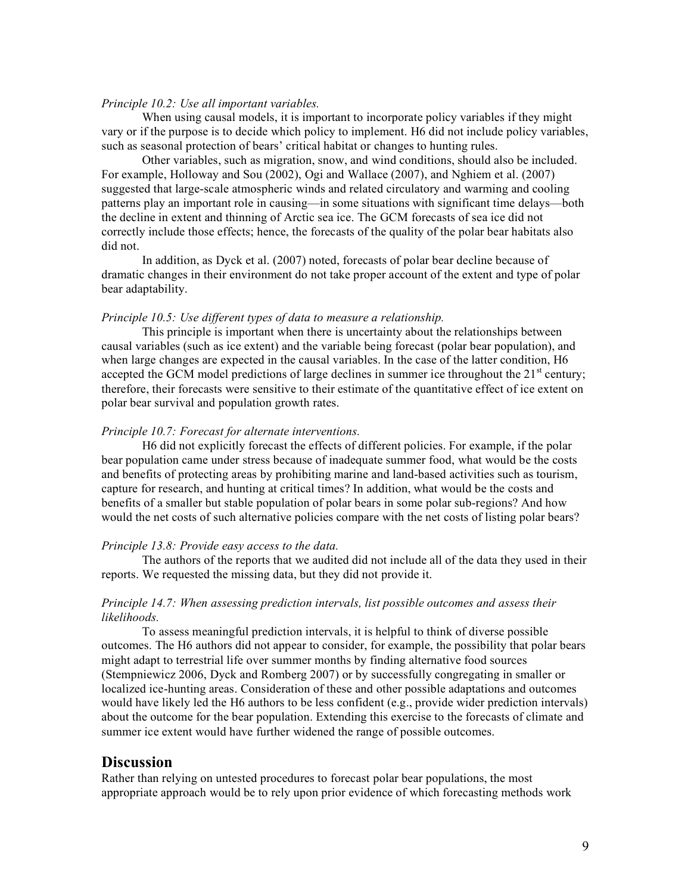#### *Principle 10.2: Use all important variables.*

When using causal models, it is important to incorporate policy variables if they might vary or if the purpose is to decide which policy to implement. H6 did not include policy variables, such as seasonal protection of bears' critical habitat or changes to hunting rules.

Other variables, such as migration, snow, and wind conditions, should also be included. For example, Holloway and Sou (2002), Ogi and Wallace (2007), and Nghiem et al. (2007) suggested that large-scale atmospheric winds and related circulatory and warming and cooling patterns play an important role in causing—in some situations with significant time delays—both the decline in extent and thinning of Arctic sea ice. The GCM forecasts of sea ice did not correctly include those effects; hence, the forecasts of the quality of the polar bear habitats also did not.

In addition, as Dyck et al. (2007) noted, forecasts of polar bear decline because of dramatic changes in their environment do not take proper account of the extent and type of polar bear adaptability.

#### *Principle 10.5: Use different types of data to measure a relationship.*

This principle is important when there is uncertainty about the relationships between causal variables (such as ice extent) and the variable being forecast (polar bear population), and when large changes are expected in the causal variables. In the case of the latter condition, H6 accepted the GCM model predictions of large declines in summer ice throughout the  $21<sup>st</sup>$  century; therefore, their forecasts were sensitive to their estimate of the quantitative effect of ice extent on polar bear survival and population growth rates.

#### *Principle 10.7: Forecast for alternate interventions.*

H6 did not explicitly forecast the effects of different policies. For example, if the polar bear population came under stress because of inadequate summer food, what would be the costs and benefits of protecting areas by prohibiting marine and land-based activities such as tourism, capture for research, and hunting at critical times? In addition, what would be the costs and benefits of a smaller but stable population of polar bears in some polar sub-regions? And how would the net costs of such alternative policies compare with the net costs of listing polar bears?

#### *Principle 13.8: Provide easy access to the data.*

The authors of the reports that we audited did not include all of the data they used in their reports. We requested the missing data, but they did not provide it.

## *Principle 14.7: When assessing prediction intervals, list possible outcomes and assess their likelihoods.*

To assess meaningful prediction intervals, it is helpful to think of diverse possible outcomes. The H6 authors did not appear to consider, for example, the possibility that polar bears might adapt to terrestrial life over summer months by finding alternative food sources (Stempniewicz 2006, Dyck and Romberg 2007) or by successfully congregating in smaller or localized ice-hunting areas. Consideration of these and other possible adaptations and outcomes would have likely led the H6 authors to be less confident (e.g., provide wider prediction intervals) about the outcome for the bear population. Extending this exercise to the forecasts of climate and summer ice extent would have further widened the range of possible outcomes.

## **Discussion**

Rather than relying on untested procedures to forecast polar bear populations, the most appropriate approach would be to rely upon prior evidence of which forecasting methods work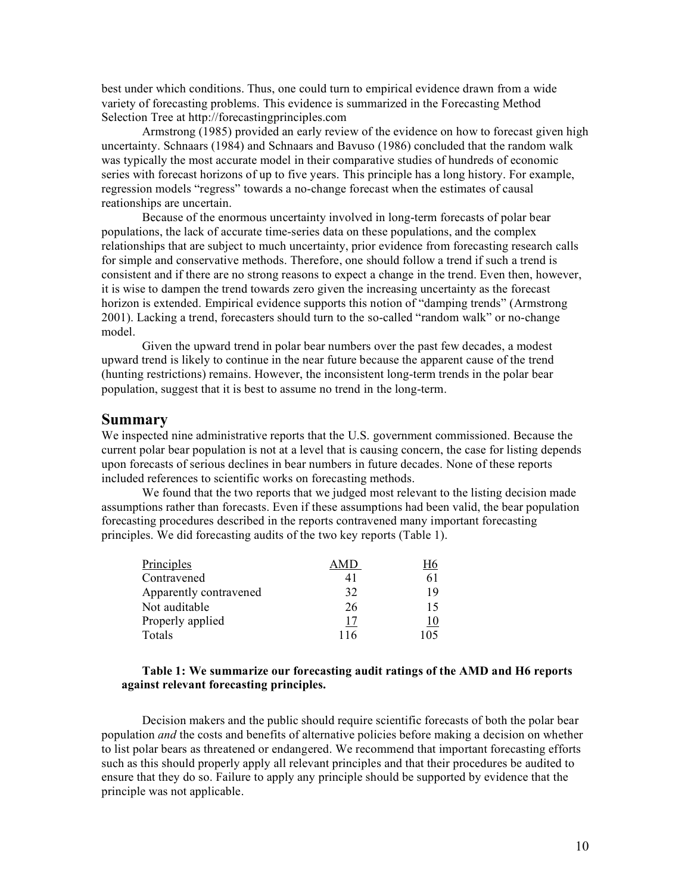best under which conditions. Thus, one could turn to empirical evidence drawn from a wide variety of forecasting problems. This evidence is summarized in the Forecasting Method Selection Tree at http://forecastingprinciples.com

Armstrong (1985) provided an early review of the evidence on how to forecast given high uncertainty. Schnaars (1984) and Schnaars and Bavuso (1986) concluded that the random walk was typically the most accurate model in their comparative studies of hundreds of economic series with forecast horizons of up to five years. This principle has a long history. For example, regression models "regress" towards a no-change forecast when the estimates of causal reationships are uncertain.

Because of the enormous uncertainty involved in long-term forecasts of polar bear populations, the lack of accurate time-series data on these populations, and the complex relationships that are subject to much uncertainty, prior evidence from forecasting research calls for simple and conservative methods. Therefore, one should follow a trend if such a trend is consistent and if there are no strong reasons to expect a change in the trend. Even then, however, it is wise to dampen the trend towards zero given the increasing uncertainty as the forecast horizon is extended. Empirical evidence supports this notion of "damping trends" (Armstrong 2001). Lacking a trend, forecasters should turn to the so-called "random walk" or no-change model.

Given the upward trend in polar bear numbers over the past few decades, a modest upward trend is likely to continue in the near future because the apparent cause of the trend (hunting restrictions) remains. However, the inconsistent long-term trends in the polar bear population, suggest that it is best to assume no trend in the long-term.

## **Summary**

We inspected nine administrative reports that the U.S. government commissioned. Because the current polar bear population is not at a level that is causing concern, the case for listing depends upon forecasts of serious declines in bear numbers in future decades. None of these reports included references to scientific works on forecasting methods.

We found that the two reports that we judged most relevant to the listing decision made assumptions rather than forecasts. Even if these assumptions had been valid, the bear population forecasting procedures described in the reports contravened many important forecasting principles. We did forecasting audits of the two key reports (Table 1).

| Principles             | MD  | Н6  |
|------------------------|-----|-----|
| Contravened            |     | 61  |
| Apparently contravened | 32  | 19  |
| Not auditable          | 26  | 15  |
| Properly applied       | 17  | 10  |
| Totals                 | 116 | 105 |

### **Table 1: We summarize our forecasting audit ratings of the AMD and H6 reports against relevant forecasting principles.**

Decision makers and the public should require scientific forecasts of both the polar bear population *and* the costs and benefits of alternative policies before making a decision on whether to list polar bears as threatened or endangered. We recommend that important forecasting efforts such as this should properly apply all relevant principles and that their procedures be audited to ensure that they do so. Failure to apply any principle should be supported by evidence that the principle was not applicable.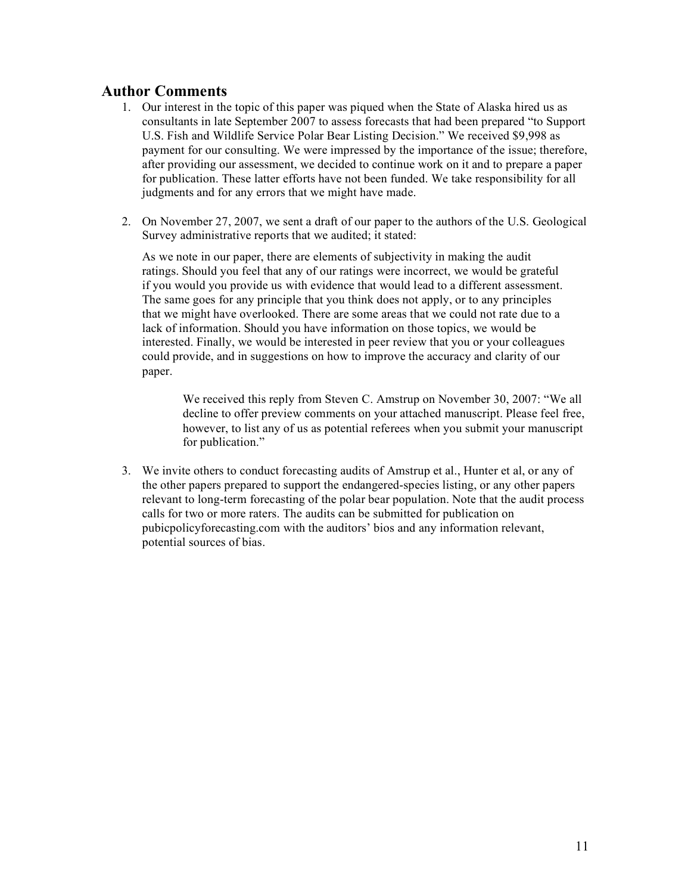# **Author Comments**

- 1. Our interest in the topic of this paper was piqued when the State of Alaska hired us as consultants in late September 2007 to assess forecasts that had been prepared "to Support U.S. Fish and Wildlife Service Polar Bear Listing Decision." We received \$9,998 as payment for our consulting. We were impressed by the importance of the issue; therefore, after providing our assessment, we decided to continue work on it and to prepare a paper for publication. These latter efforts have not been funded. We take responsibility for all judgments and for any errors that we might have made.
- 2. On November 27, 2007, we sent a draft of our paper to the authors of the U.S. Geological Survey administrative reports that we audited; it stated:

As we note in our paper, there are elements of subjectivity in making the audit ratings. Should you feel that any of our ratings were incorrect, we would be grateful if you would you provide us with evidence that would lead to a different assessment. The same goes for any principle that you think does not apply, or to any principles that we might have overlooked. There are some areas that we could not rate due to a lack of information. Should you have information on those topics, we would be interested. Finally, we would be interested in peer review that you or your colleagues could provide, and in suggestions on how to improve the accuracy and clarity of our paper.

We received this reply from Steven C. Amstrup on November 30, 2007: "We all decline to offer preview comments on your attached manuscript. Please feel free, however, to list any of us as potential referees when you submit your manuscript for publication."

3. We invite others to conduct forecasting audits of Amstrup et al., Hunter et al, or any of the other papers prepared to support the endangered-species listing, or any other papers relevant to long-term forecasting of the polar bear population. Note that the audit process calls for two or more raters. The audits can be submitted for publication on pubicpolicyforecasting.com with the auditors' bios and any information relevant, potential sources of bias.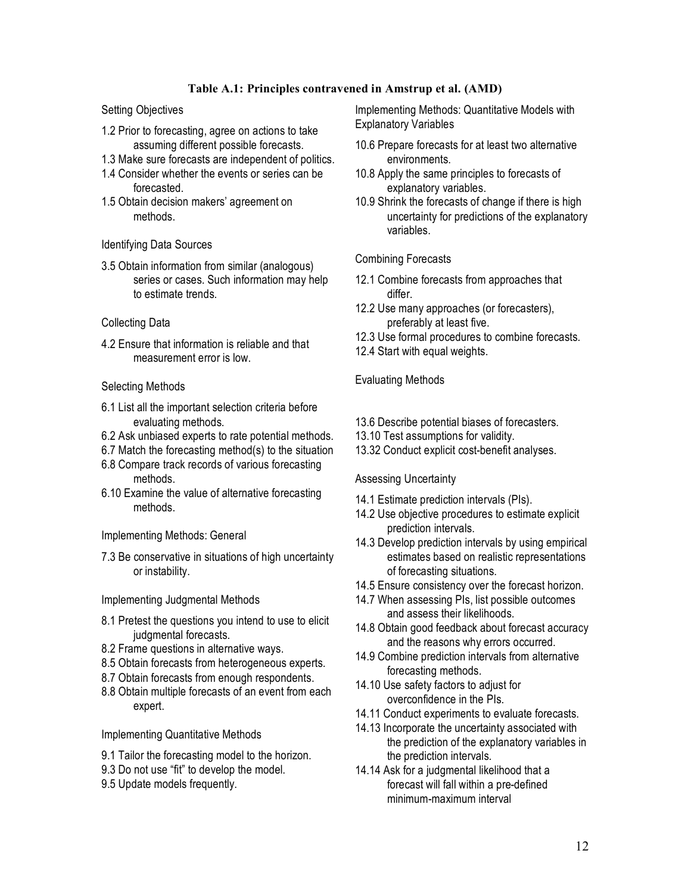## **Table A.1: Principles contravened in Amstrup et al. (AMD)**

#### Setting Objectives

- 1.2 Prior to forecasting, agree on actions to take assuming different possible forecasts.
- 1.3 Make sure forecasts are independent of politics.
- 1.4 Consider whether the events or series can be forecasted.
- 1.5 Obtain decision makers' agreement on methods.

#### Identifying Data Sources

3.5 Obtain information from similar (analogous) series or cases. Such information may help to estimate trends.

#### Collecting Data

4.2 Ensure that information is reliable and that measurement error is low.

#### Selecting Methods

- 6.1 List all the important selection criteria before evaluating methods.
- 6.2 Ask unbiased experts to rate potential methods.
- 6.7 Match the forecasting method(s) to the situation
- 6.8 Compare track records of various forecasting methods.
- 6.10 Examine the value of alternative forecasting methods.

Implementing Methods: General

7.3 Be conservative in situations of high uncertainty or instability.

#### Implementing Judgmental Methods

- 8.1 Pretest the questions you intend to use to elicit judgmental forecasts.
- 8.2 Frame questions in alternative ways.
- 8.5 Obtain forecasts from heterogeneous experts.
- 8.7 Obtain forecasts from enough respondents.
- 8.8 Obtain multiple forecasts of an event from each expert.

Implementing Quantitative Methods

- 9.1 Tailor the forecasting model to the horizon.
- 9.3 Do not use "fit" to develop the model.
- 9.5 Update models frequently.

Implementing Methods: Quantitative Models with Explanatory Variables

- 10.6 Prepare forecasts for at least two alternative environments.
- 10.8 Apply the same principles to forecasts of explanatory variables.
- 10.9 Shrink the forecasts of change if there is high uncertainty for predictions of the explanatory variables.

#### Combining Forecasts

- 12.1 Combine forecasts from approaches that differ.
- 12.2 Use many approaches (or forecasters), preferably at least five.
- 12.3 Use formal procedures to combine forecasts.
- 12.4 Start with equal weights.

## Evaluating Methods

- 13.6 Describe potential biases of forecasters.
- 13.10 Test assumptions for validity.
- 13.32 Conduct explicit cost-benefit analyses.

#### Assessing Uncertainty

- 14.1 Estimate prediction intervals (PIs).
- 14.2 Use objective procedures to estimate explicit prediction intervals.
- 14.3 Develop prediction intervals by using empirical estimates based on realistic representations of forecasting situations.
- 14.5 Ensure consistency over the forecast horizon.
- 14.7 When assessing PIs, list possible outcomes and assess their likelihoods.
- 14.8 Obtain good feedback about forecast accuracy and the reasons why errors occurred.
- 14.9 Combine prediction intervals from alternative forecasting methods.
- 14.10 Use safety factors to adjust for overconfidence in the PIs.
- 14.11 Conduct experiments to evaluate forecasts.
- 14.13 Incorporate the uncertainty associated with the prediction of the explanatory variables in the prediction intervals.
- 14.14 Ask for a judgmental likelihood that a forecast will fall within a pre-defined minimum-maximum interval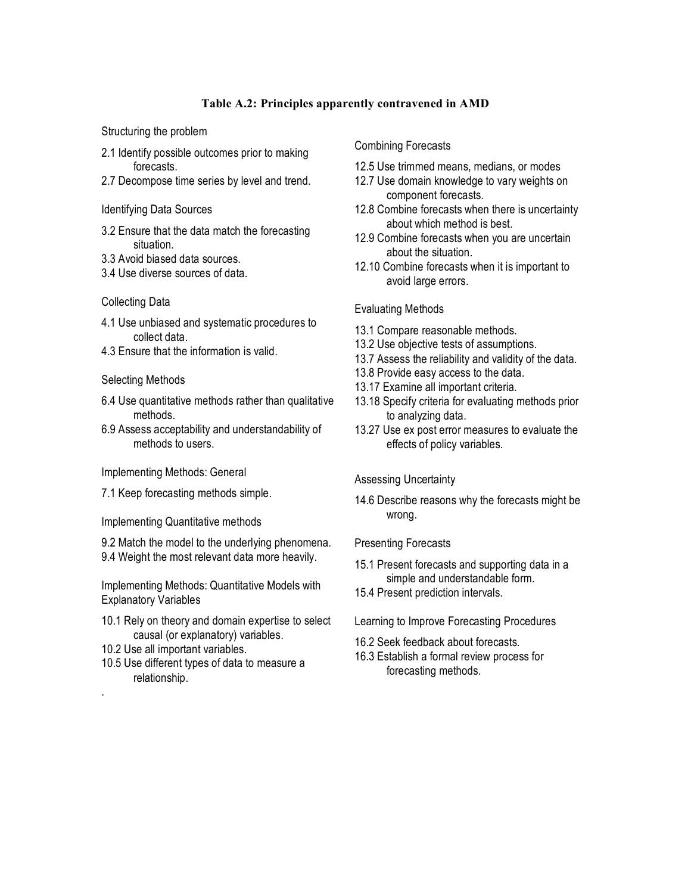## **Table A.2: Principles apparently contravened in AMD**

Structuring the problem

- 2.1 Identify possible outcomes prior to making forecasts.
- 2.7 Decompose time series by level and trend.

#### Identifying Data Sources

- 3.2 Ensure that the data match the forecasting situation.
- 3.3 Avoid biased data sources.
- 3.4 Use diverse sources of data.

#### Collecting Data

- 4.1 Use unbiased and systematic procedures to collect data.
- 4.3 Ensure that the information is valid.

#### Selecting Methods

- 6.4 Use quantitative methods rather than qualitative methods.
- 6.9 Assess acceptability and understandability of methods to users.

#### Implementing Methods: General

7.1 Keep forecasting methods simple.

Implementing Quantitative methods

9.2 Match the model to the underlying phenomena. 9.4 Weight the most relevant data more heavily.

Implementing Methods: Quantitative Models with Explanatory Variables

- 10.1 Rely on theory and domain expertise to select causal (or explanatory) variables.
- 10.2 Use all important variables.

.

10.5 Use different types of data to measure a relationship.

#### Combining Forecasts

- 12.5 Use trimmed means, medians, or modes
- 12.7 Use domain knowledge to vary weights on component forecasts.
- 12.8 Combine forecasts when there is uncertainty about which method is best.
- 12.9 Combine forecasts when you are uncertain about the situation.
- 12.10 Combine forecasts when it is important to avoid large errors.

#### Evaluating Methods

- 13.1 Compare reasonable methods.
- 13.2 Use objective tests of assumptions.
- 13.7 Assess the reliability and validity of the data.
- 13.8 Provide easy access to the data.
- 13.17 Examine all important criteria.
- 13.18 Specify criteria for evaluating methods prior to analyzing data.
- 13.27 Use ex post error measures to evaluate the effects of policy variables.

## Assessing Uncertainty

14.6 Describe reasons why the forecasts might be wrong.

## Presenting Forecasts

- 15.1 Present forecasts and supporting data in a simple and understandable form.
- 15.4 Present prediction intervals.
- Learning to Improve Forecasting Procedures
- 16.2 Seek feedback about forecasts.
- 16.3 Establish a formal review process for forecasting methods.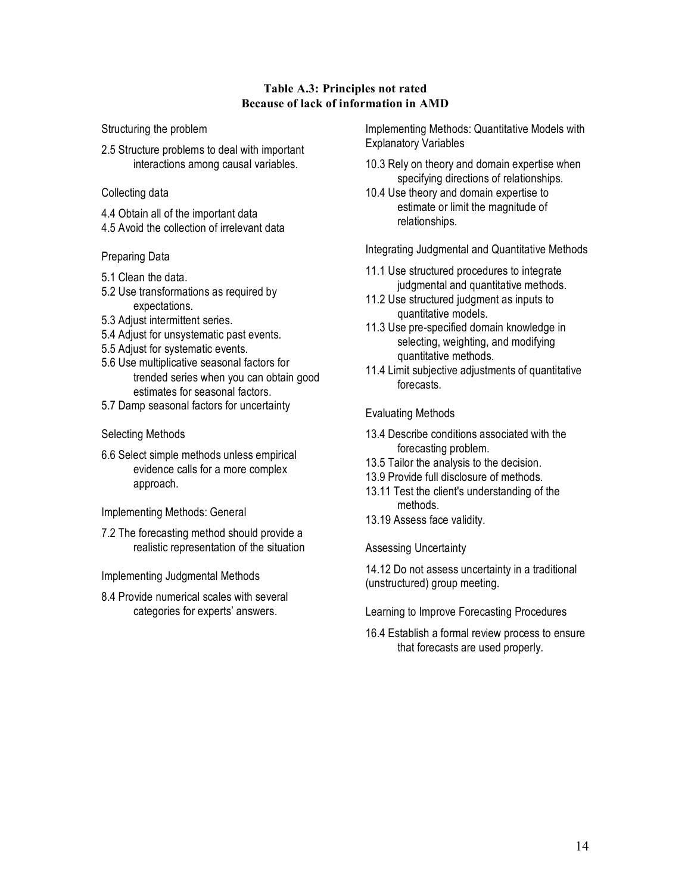#### **Table A.3: Principles not rated Because of lack of information in AMD**

#### Structuring the problem

2.5 Structure problems to deal with important interactions among causal variables.

## Collecting data

- 4.4 Obtain all of the important data
- 4.5 Avoid the collection of irrelevant data

# Preparing Data

- 5.1 Clean the data.
- 5.2 Use transformations as required by expectations.
- 5.3 Adjust intermittent series.
- 5.4 Adjust for unsystematic past events.
- 5.5 Adjust for systematic events.
- 5.6 Use multiplicative seasonal factors for trended series when you can obtain good estimates for seasonal factors.
- 5.7 Damp seasonal factors for uncertainty

# Selecting Methods

6.6 Select simple methods unless empirical evidence calls for a more complex approach.

## Implementing Methods: General

7.2 The forecasting method should provide a realistic representation of the situation

Implementing Judgmental Methods

8.4 Provide numerical scales with several categories for experts' answers.

Implementing Methods: Quantitative Models with Explanatory Variables

- 10.3 Rely on theory and domain expertise when specifying directions of relationships.
- 10.4 Use theory and domain expertise to estimate or limit the magnitude of relationships.

Integrating Judgmental and Quantitative Methods

- 11.1 Use structured procedures to integrate judgmental and quantitative methods.
- 11.2 Use structured judgment as inputs to quantitative models.
- 11.3 Use pre-specified domain knowledge in selecting, weighting, and modifying quantitative methods.
- 11.4 Limit subjective adjustments of quantitative forecasts.

# Evaluating Methods

- 13.4 Describe conditions associated with the forecasting problem.
- 13.5 Tailor the analysis to the decision.
- 13.9 Provide full disclosure of methods.
- 13.11 Test the client's understanding of the methods.
- 13.19 Assess face validity.

Assessing Uncertainty

14.12 Do not assess uncertainty in a traditional (unstructured) group meeting.

Learning to Improve Forecasting Procedures

16.4 Establish a formal review process to ensure that forecasts are used properly.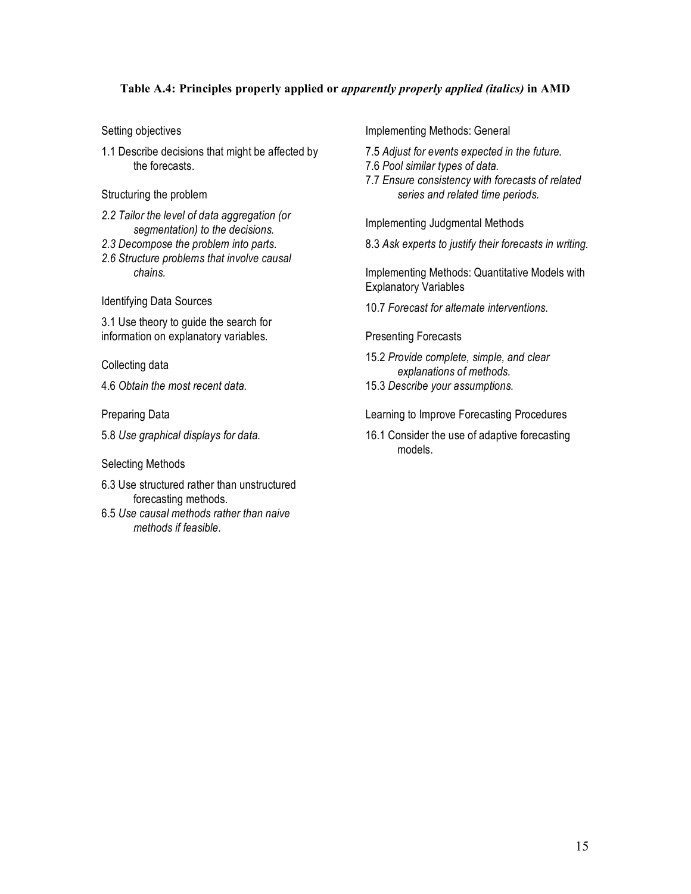# **Table A.4: Principles properly applied or** *apparently properly applied (italics)* **in AMD**

Setting objectives

1.1 Describe decisions that might be affected by the forecasts.

Structuring the problem

- *2.2 Tailor the level of data aggregation (or segmentation) to the decisions.*
- *2.3 Decompose the problem into parts.*
- *2.6 Structure problems that involve causal chains.*

Identifying Data Sources

3.1 Use theory to guide the search for information on explanatory variables.

Collecting data

4.6 *Obtain the most recent data.* 

Preparing Data

5.8 *Use graphical displays for data.* 

#### Selecting Methods

6.3 Use structured rather than unstructured forecasting methods.

6.5 *Use causal methods rather than naive methods if feasible.*

Implementing Methods: General

7.5 *Adjust for events expected in the future*.

- 7.6 *Pool similar types of data.*
- 7.7 *Ensure consistency with forecasts of related series and related time periods.*

Implementing Judgmental Methods

8.3 *Ask experts to justify their forecasts in writing.*

Implementing Methods: Quantitative Models with Explanatory Variables

10.7 *Forecast for alternate interventions*.

Presenting Forecasts

- 15.2 *Provide complete, simple, and clear explanations of methods.*
- 15.3 *Describe your assumptions.*

Learning to Improve Forecasting Procedures

16.1 Consider the use of adaptive forecasting models.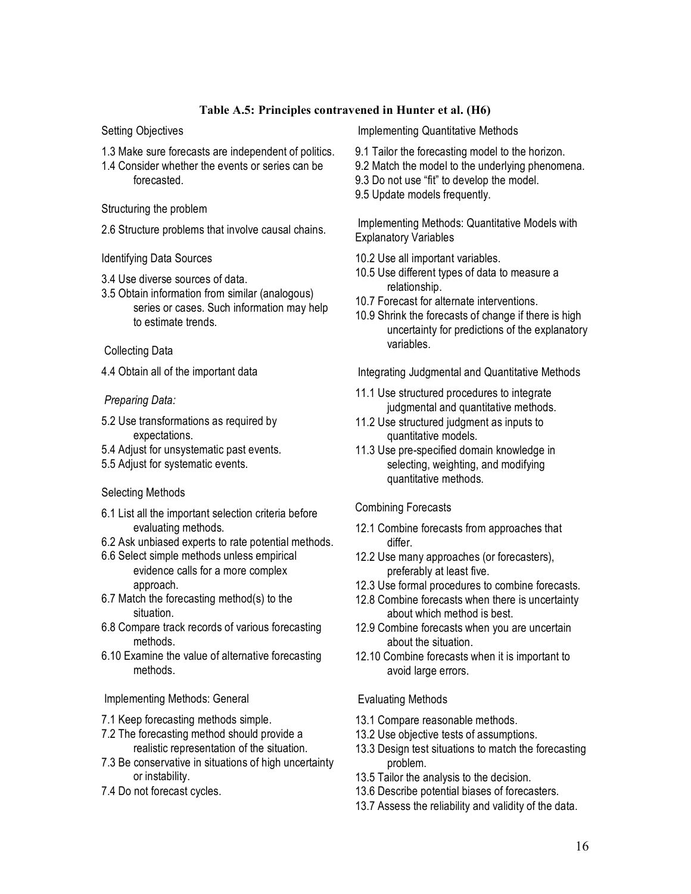## **Table A.5: Principles contravened in Hunter et al. (H6)**

## Setting Objectives

- 1.3 Make sure forecasts are independent of politics.
- 1.4 Consider whether the events or series can be forecasted.

## Structuring the problem

2.6 Structure problems that involve causal chains.

## Identifying Data Sources

- 3.4 Use diverse sources of data.
- 3.5 Obtain information from similar (analogous) series or cases. Such information may help to estimate trends.

## Collecting Data

4.4 Obtain all of the important data

## *Preparing Data:*

- 5.2 Use transformations as required by expectations.
- 5.4 Adjust for unsystematic past events.
- 5.5 Adjust for systematic events.

## Selecting Methods

- 6.1 List all the important selection criteria before evaluating methods.
- 6.2 Ask unbiased experts to rate potential methods.
- 6.6 Select simple methods unless empirical evidence calls for a more complex approach.
- 6.7 Match the forecasting method(s) to the situation.
- 6.8 Compare track records of various forecasting methods.
- 6.10 Examine the value of alternative forecasting methods.

## Implementing Methods: General

- 7.1 Keep forecasting methods simple.
- 7.2 The forecasting method should provide a realistic representation of the situation.
- 7.3 Be conservative in situations of high uncertainty or instability.
- 7.4 Do not forecast cycles.

## Implementing Quantitative Methods

- 9.1 Tailor the forecasting model to the horizon.
- 9.2 Match the model to the underlying phenomena.
- 9.3 Do not use "fit" to develop the model.
- 9.5 Update models frequently.

 Implementing Methods: Quantitative Models with Explanatory Variables

- 10.2 Use all important variables.
- 10.5 Use different types of data to measure a relationship.
- 10.7 Forecast for alternate interventions.
- 10.9 Shrink the forecasts of change if there is high uncertainty for predictions of the explanatory variables.

Integrating Judgmental and Quantitative Methods

- 11.1 Use structured procedures to integrate judgmental and quantitative methods.
- 11.2 Use structured judgment as inputs to quantitative models.
- 11.3 Use pre-specified domain knowledge in selecting, weighting, and modifying quantitative methods.

## Combining Forecasts

- 12.1 Combine forecasts from approaches that differ.
- 12.2 Use many approaches (or forecasters), preferably at least five.
- 12.3 Use formal procedures to combine forecasts.
- 12.8 Combine forecasts when there is uncertainty about which method is best.
- 12.9 Combine forecasts when you are uncertain about the situation.
- 12.10 Combine forecasts when it is important to avoid large errors.

## Evaluating Methods

- 13.1 Compare reasonable methods.
- 13.2 Use objective tests of assumptions.
- 13.3 Design test situations to match the forecasting problem.
- 13.5 Tailor the analysis to the decision.
- 13.6 Describe potential biases of forecasters.
- 13.7 Assess the reliability and validity of the data.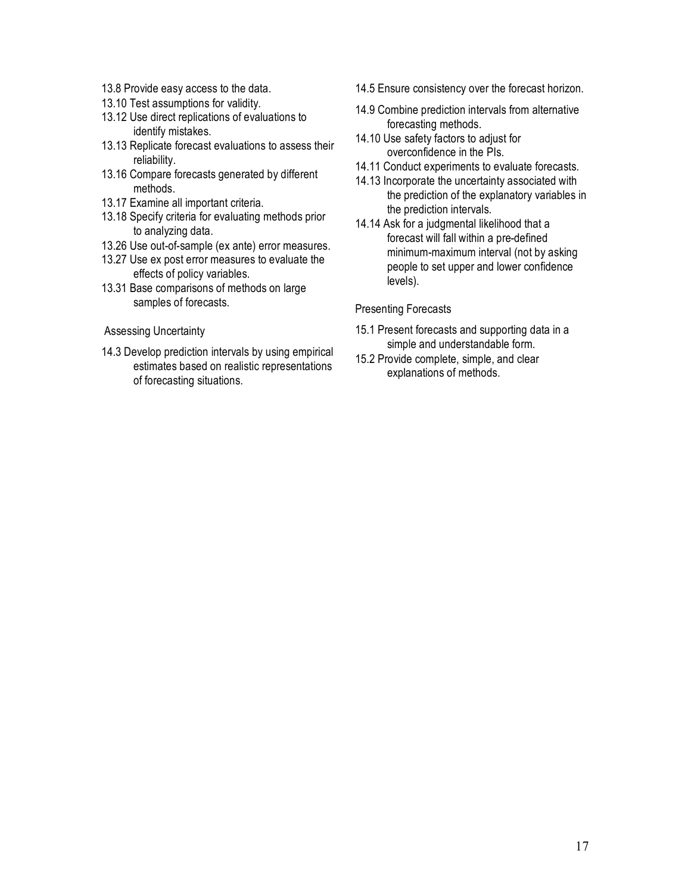- 13.8 Provide easy access to the data.
- 13.10 Test assumptions for validity.
- 13.12 Use direct replications of evaluations to identify mistakes.
- 13.13 Replicate forecast evaluations to assess their reliability.
- 13.16 Compare forecasts generated by different methods.
- 13.17 Examine all important criteria.
- 13.18 Specify criteria for evaluating methods prior to analyzing data.
- 13.26 Use out-of-sample (ex ante) error measures.
- 13.27 Use ex post error measures to evaluate the effects of policy variables.
- 13.31 Base comparisons of methods on large samples of forecasts.

## Assessing Uncertainty

14.3 Develop prediction intervals by using empirical estimates based on realistic representations of forecasting situations.

- 14.5 Ensure consistency over the forecast horizon.
- 14.9 Combine prediction intervals from alternative forecasting methods.
- 14.10 Use safety factors to adjust for overconfidence in the PIs.
- 14.11 Conduct experiments to evaluate forecasts.
- 14.13 Incorporate the uncertainty associated with the prediction of the explanatory variables in the prediction intervals.
- 14.14 Ask for a judgmental likelihood that a forecast will fall within a pre-defined minimum-maximum interval (not by asking people to set upper and lower confidence levels).

## Presenting Forecasts

- 15.1 Present forecasts and supporting data in a simple and understandable form.
- 15.2 Provide complete, simple, and clear explanations of methods.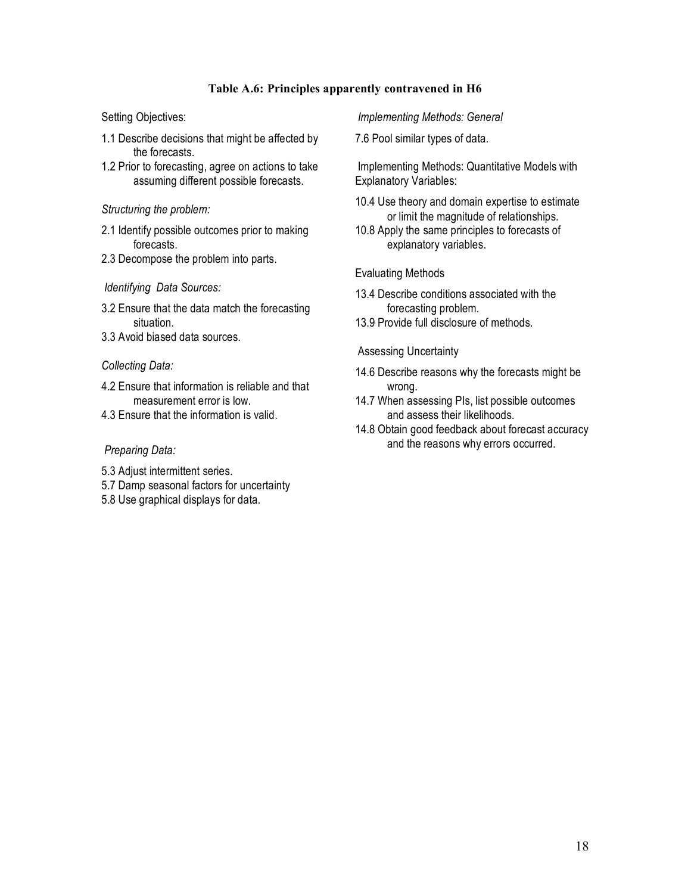## **Table A.6: Principles apparently contravened in H6**

#### Setting Objectives:

- 1.1 Describe decisions that might be affected by the forecasts.
- 1.2 Prior to forecasting, agree on actions to take assuming different possible forecasts.

#### *Structuring the problem:*

- 2.1 Identify possible outcomes prior to making forecasts.
- 2.3 Decompose the problem into parts.

#### *Identifying Data Sources:*

- 3.2 Ensure that the data match the forecasting situation.
- 3.3 Avoid biased data sources.

#### *Collecting Data:*

- 4.2 Ensure that information is reliable and that measurement error is low.
- 4.3 Ensure that the information is valid.

#### *Preparing Data:*

- 5.3 Adjust intermittent series.
- 5.7 Damp seasonal factors for uncertainty
- 5.8 Use graphical displays for data.

#### *Implementing Methods: General*

7.6 Pool similar types of data.

 Implementing Methods: Quantitative Models with Explanatory Variables:

- 10.4 Use theory and domain expertise to estimate or limit the magnitude of relationships.
- 10.8 Apply the same principles to forecasts of explanatory variables.

Evaluating Methods

- 13.4 Describe conditions associated with the forecasting problem.
- 13.9 Provide full disclosure of methods.

#### Assessing Uncertainty

- 14.6 Describe reasons why the forecasts might be wrong.
- 14.7 When assessing PIs, list possible outcomes and assess their likelihoods.
- 14.8 Obtain good feedback about forecast accuracy and the reasons why errors occurred.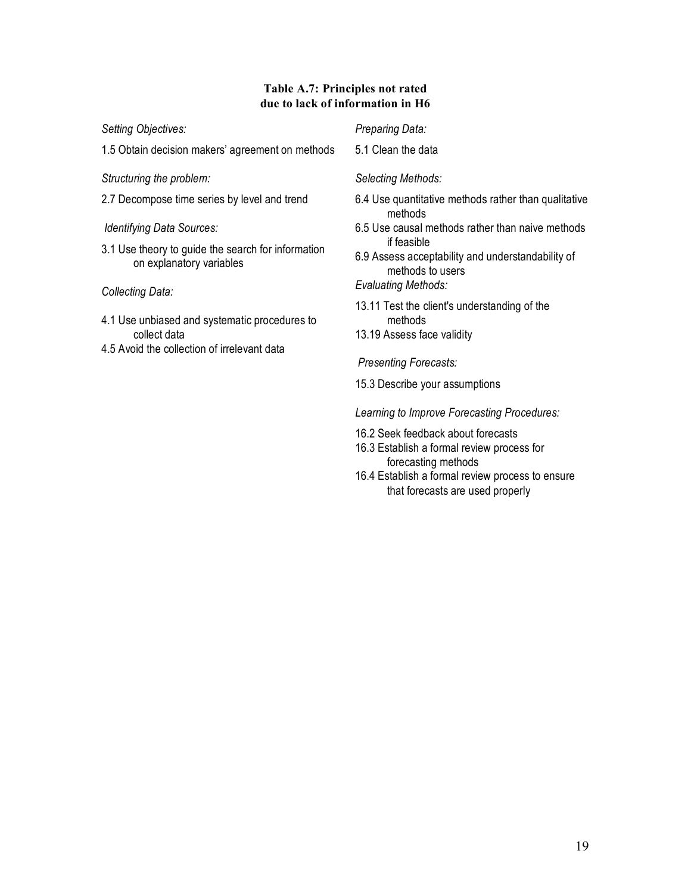## **Table A.7: Principles not rated due to lack of information in H6**

| Setting Objectives: |  |
|---------------------|--|
|---------------------|--|

- 1.5 Obtain decision makers' agreement on methods
- *Structuring the problem:*
- 2.7 Decompose time series by level and trend

## *Identifying Data Sources:*

3.1 Use theory to guide the search for information on explanatory variables

## *Collecting Data:*

- 4.1 Use unbiased and systematic procedures to collect data
- 4.5 Avoid the collection of irrelevant data
- *Preparing Data:*
- 5.1 Clean the data

# *Selecting Methods:*

- 6.4 Use quantitative methods rather than qualitative methods
- 6.5 Use causal methods rather than naive methods if feasible
- 6.9 Assess acceptability and understandability of methods to users
- *Evaluating Methods:*
- 13.11 Test the client's understanding of the methods
- 13.19 Assess face validity

## *Presenting Forecasts:*

15.3 Describe your assumptions

*Learning to Improve Forecasting Procedures:*

- 16.2 Seek feedback about forecasts
- 16.3 Establish a formal review process for forecasting methods
- 16.4 Establish a formal review process to ensure that forecasts are used properly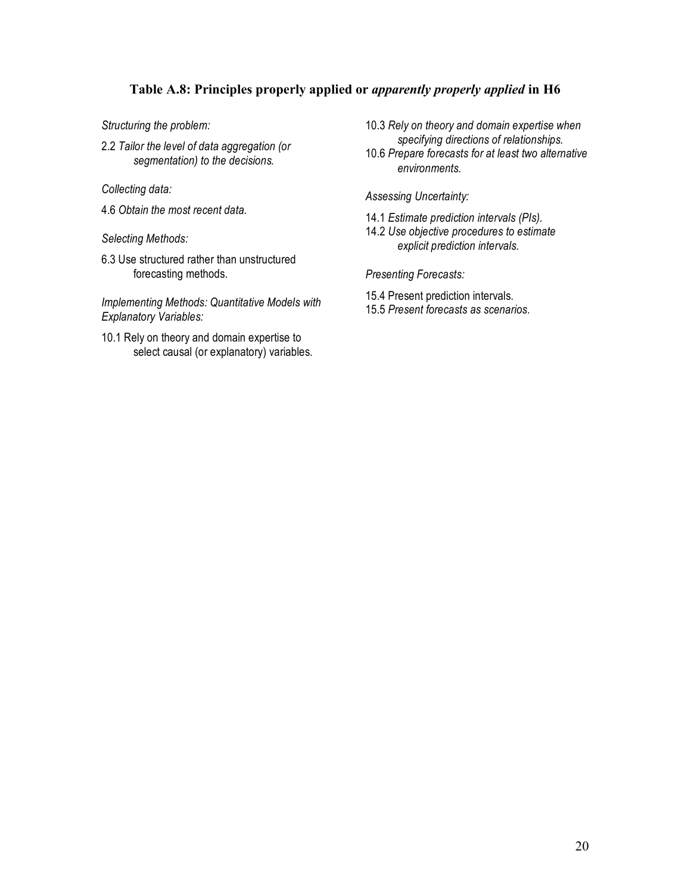# **Table A.8: Principles properly applied or** *apparently properly applied* **in H6**

*Structuring the problem:*

2.2 *Tailor the level of data aggregation (or segmentation) to the decisions.* 

*Collecting data:*

4.6 *Obtain the most recent data.*

*Selecting Methods:*

6.3 Use structured rather than unstructured forecasting methods.

*Implementing Methods: Quantitative Models with Explanatory Variables:* 

10.1 Rely on theory and domain expertise to select causal (or explanatory) variables.

- 10.3 *Rely on theory and domain expertise when specifying directions of relationships*.
- 10.6 *Prepare forecasts for at least two alternative environments.*

*Assessing Uncertainty:* 

- 14.1 *Estimate prediction intervals (PIs).*
- 14.2 *Use objective procedures to estimate explicit prediction intervals*.

*Presenting Forecasts:* 

- 15.4 Present prediction intervals.
- 15.5 *Present forecasts as scenarios.*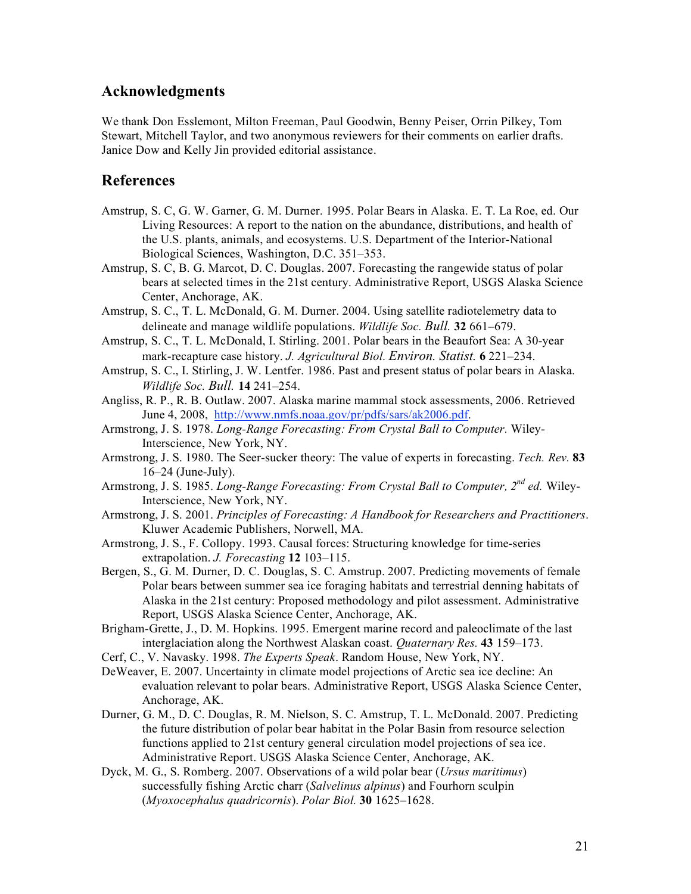# **Acknowledgments**

We thank Don Esslemont, Milton Freeman, Paul Goodwin, Benny Peiser, Orrin Pilkey, Tom Stewart, Mitchell Taylor, and two anonymous reviewers for their comments on earlier drafts. Janice Dow and Kelly Jin provided editorial assistance.

# **References**

- Amstrup, S. C, G. W. Garner, G. M. Durner. 1995. Polar Bears in Alaska. E. T. La Roe, ed. Our Living Resources: A report to the nation on the abundance, distributions, and health of the U.S. plants, animals, and ecosystems. U.S. Department of the Interior-National Biological Sciences, Washington, D.C. 351–353.
- Amstrup, S. C, B. G. Marcot, D. C. Douglas. 2007. Forecasting the rangewide status of polar bears at selected times in the 21st century. Administrative Report, USGS Alaska Science Center, Anchorage, AK.
- Amstrup, S. C., T. L. McDonald, G. M. Durner. 2004. Using satellite radiotelemetry data to delineate and manage wildlife populations. *Wildlife Soc. Bull.* **32** 661–679.
- Amstrup, S. C., T. L. McDonald, I. Stirling. 2001. Polar bears in the Beaufort Sea: A 30-year mark-recapture case history. *J. Agricultural Biol. Environ. Statist.* **6** 221–234.
- Amstrup, S. C., I. Stirling, J. W. Lentfer. 1986. Past and present status of polar bears in Alaska. *Wildlife Soc. Bull.* **14** 241–254.
- Angliss, R. P., R. B. Outlaw. 2007. Alaska marine mammal stock assessments, 2006. Retrieved June 4, 2008, http://www.nmfs.noaa.gov/pr/pdfs/sars/ak2006.pdf.
- Armstrong, J. S. 1978. *Long-Range Forecasting: From Crystal Ball to Computer.* Wiley-Interscience, New York, NY.
- Armstrong, J. S. 1980. The Seer-sucker theory: The value of experts in forecasting. *Tech. Rev.* **83** 16–24 (June-July).
- Armstrong, J. S. 1985. *Long-Range Forecasting: From Crystal Ball to Computer, 2nd ed.* Wiley-Interscience, New York, NY.
- Armstrong, J. S. 2001. *Principles of Forecasting: A Handbook for Researchers and Practitioners*. Kluwer Academic Publishers, Norwell, MA.
- Armstrong, J. S., F. Collopy. 1993. Causal forces: Structuring knowledge for time-series extrapolation. *J. Forecasting* **12** 103–115.
- Bergen, S., G. M. Durner, D. C. Douglas, S. C. Amstrup. 2007. Predicting movements of female Polar bears between summer sea ice foraging habitats and terrestrial denning habitats of Alaska in the 21st century: Proposed methodology and pilot assessment. Administrative Report, USGS Alaska Science Center, Anchorage, AK.
- Brigham-Grette, J., D. M. Hopkins. 1995. Emergent marine record and paleoclimate of the last interglaciation along the Northwest Alaskan coast. *Quaternary Res.* **43** 159–173.
- Cerf, C., V. Navasky. 1998. *The Experts Speak*. Random House, New York, NY.
- DeWeaver, E. 2007. Uncertainty in climate model projections of Arctic sea ice decline: An evaluation relevant to polar bears. Administrative Report, USGS Alaska Science Center, Anchorage, AK.
- Durner, G. M., D. C. Douglas, R. M. Nielson, S. C. Amstrup, T. L. McDonald. 2007. Predicting the future distribution of polar bear habitat in the Polar Basin from resource selection functions applied to 21st century general circulation model projections of sea ice. Administrative Report. USGS Alaska Science Center, Anchorage, AK.
- Dyck, M. G., S. Romberg. 2007. Observations of a wild polar bear (*Ursus maritimus*) successfully fishing Arctic charr (*Salvelinus alpinus*) and Fourhorn sculpin (*Myoxocephalus quadricornis*). *Polar Biol.* **30** 1625–1628.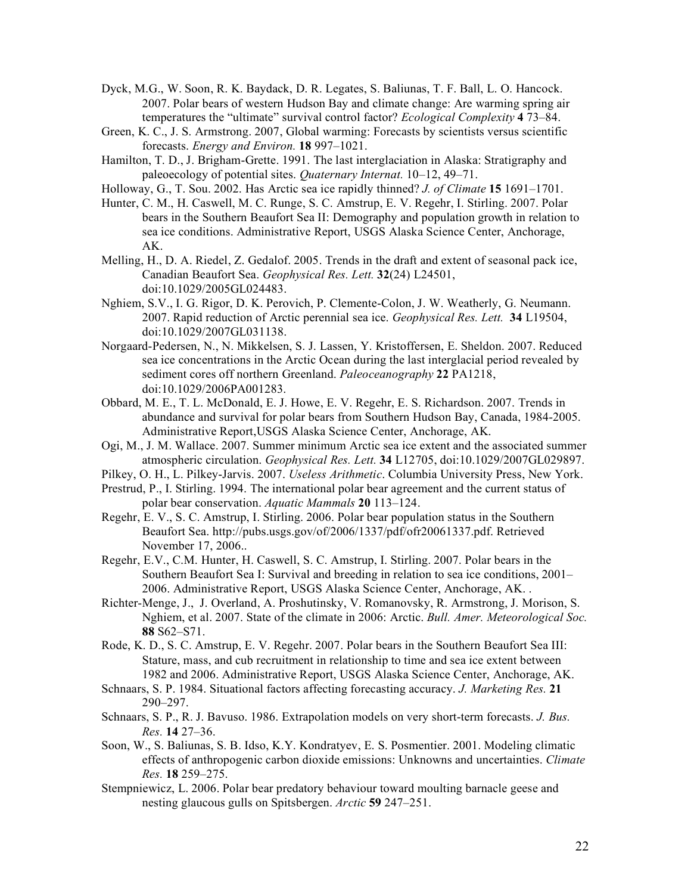- Dyck, M.G., W. Soon, R. K. Baydack, D. R. Legates, S. Baliunas, T. F. Ball, L. O. Hancock. 2007. Polar bears of western Hudson Bay and climate change: Are warming spring air temperatures the "ultimate" survival control factor? *Ecological Complexity* **4** 73–84.
- Green, K. C., J. S. Armstrong. 2007, Global warming: Forecasts by scientists versus scientific forecasts. *Energy and Environ.* **18** 997–1021.
- Hamilton, T. D., J. Brigham-Grette. 1991. The last interglaciation in Alaska: Stratigraphy and paleoecology of potential sites. *Quaternary Internat.* 10–12, 49–71.
- Holloway, G., T. Sou. 2002. Has Arctic sea ice rapidly thinned? *J. of Climate* **15** 1691–1701.
- Hunter, C. M., H. Caswell, M. C. Runge, S. C. Amstrup, E. V. Regehr, I. Stirling. 2007. Polar bears in the Southern Beaufort Sea II: Demography and population growth in relation to sea ice conditions. Administrative Report, USGS Alaska Science Center, Anchorage, AK.
- Melling, H., D. A. Riedel, Z. Gedalof. 2005. Trends in the draft and extent of seasonal pack ice, Canadian Beaufort Sea. *Geophysical Res. Lett.* **32**(24) L24501, doi:10.1029/2005GL024483.
- Nghiem, S.V., I. G. Rigor, D. K. Perovich, P. Clemente-Colon, J. W. Weatherly, G. Neumann. 2007. Rapid reduction of Arctic perennial sea ice. *Geophysical Res. Lett.* **34** L19504, doi:10.1029/2007GL031138.
- Norgaard-Pedersen, N., N. Mikkelsen, S. J. Lassen, Y. Kristoffersen, E. Sheldon. 2007. Reduced sea ice concentrations in the Arctic Ocean during the last interglacial period revealed by sediment cores off northern Greenland. *Paleoceanography* **22** PA1218, doi:10.1029/2006PA001283.
- Obbard, M. E., T. L. McDonald, E. J. Howe, E. V. Regehr, E. S. Richardson. 2007. Trends in abundance and survival for polar bears from Southern Hudson Bay, Canada, 1984-2005. Administrative Report,USGS Alaska Science Center, Anchorage, AK.
- Ogi, M., J. M. Wallace. 2007. Summer minimum Arctic sea ice extent and the associated summer atmospheric circulation. *Geophysical Res. Lett.* **34** L12705, doi:10.1029/2007GL029897.
- Pilkey, O. H., L. Pilkey-Jarvis. 2007. *Useless Arithmetic*. Columbia University Press, New York.
- Prestrud, P., I. Stirling. 1994. The international polar bear agreement and the current status of polar bear conservation. *Aquatic Mammals* **20** 113–124.
- Regehr, E. V., S. C. Amstrup, I. Stirling. 2006. Polar bear population status in the Southern Beaufort Sea. http://pubs.usgs.gov/of/2006/1337/pdf/ofr20061337.pdf. Retrieved November 17, 2006..
- Regehr, E.V., C.M. Hunter, H. Caswell, S. C. Amstrup, I. Stirling. 2007. Polar bears in the Southern Beaufort Sea I: Survival and breeding in relation to sea ice conditions, 2001– 2006. Administrative Report, USGS Alaska Science Center, Anchorage, AK. .
- Richter-Menge, J., J. Overland, A. Proshutinsky, V. Romanovsky, R. Armstrong, J. Morison, S. Nghiem, et al. 2007. State of the climate in 2006: Arctic. *Bull. Amer. Meteorological Soc.* **88** S62–S71.
- Rode, K. D., S. C. Amstrup, E. V. Regehr. 2007. Polar bears in the Southern Beaufort Sea III: Stature, mass, and cub recruitment in relationship to time and sea ice extent between 1982 and 2006. Administrative Report, USGS Alaska Science Center, Anchorage, AK.
- Schnaars, S. P. 1984. Situational factors affecting forecasting accuracy. *J. Marketing Res.* **21** 290–297.
- Schnaars, S. P., R. J. Bavuso. 1986. Extrapolation models on very short-term forecasts. *J. Bus. Res.* **14** 27–36.
- Soon, W., S. Baliunas, S. B. Idso, K.Y. Kondratyev, E. S. Posmentier. 2001. Modeling climatic effects of anthropogenic carbon dioxide emissions: Unknowns and uncertainties. *Climate Res.* **18** 259–275.
- Stempniewicz, L. 2006. Polar bear predatory behaviour toward moulting barnacle geese and nesting glaucous gulls on Spitsbergen. *Arctic* **59** 247–251.